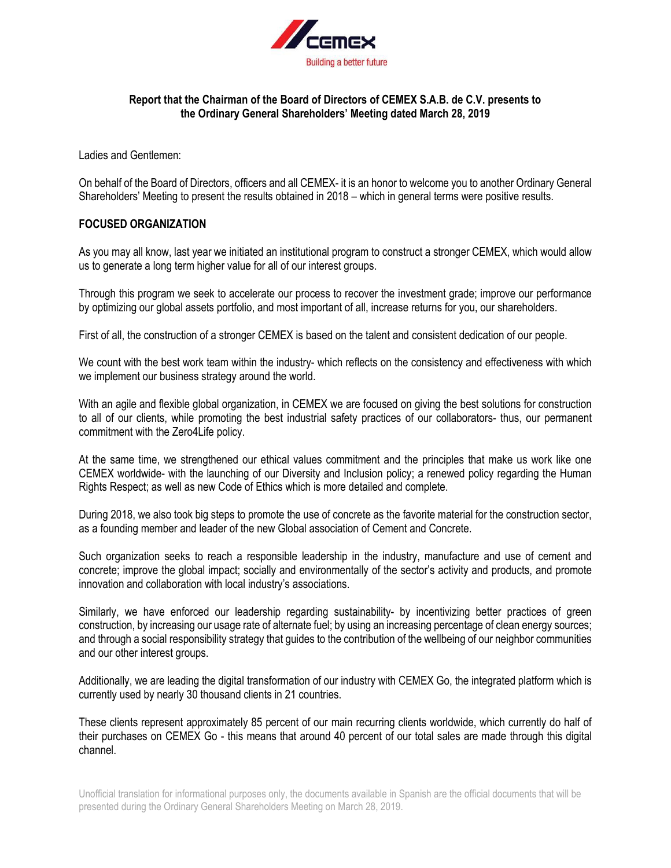

## **Report that the Chairman of the Board of Directors of CEMEX S.A.B. de C.V. presents to the Ordinary General Shareholders' Meeting dated March 28, 2019**

Ladies and Gentlemen:

On behalf of the Board of Directors, officers and all CEMEX- it is an honor to welcome you to another Ordinary General Shareholders' Meeting to present the results obtained in 2018 – which in general terms were positive results.

## **FOCUSED ORGANIZATION**

As you may all know, last year we initiated an institutional program to construct a stronger CEMEX, which would allow us to generate a long term higher value for all of our interest groups.

Through this program we seek to accelerate our process to recover the investment grade; improve our performance by optimizing our global assets portfolio, and most important of all, increase returns for you, our shareholders.

First of all, the construction of a stronger CEMEX is based on the talent and consistent dedication of our people.

We count with the best work team within the industry- which reflects on the consistency and effectiveness with which we implement our business strategy around the world.

With an agile and flexible global organization, in CEMEX we are focused on giving the best solutions for construction to all of our clients, while promoting the best industrial safety practices of our collaborators- thus, our permanent commitment with the Zero4Life policy.

At the same time, we strengthened our ethical values commitment and the principles that make us work like one CEMEX worldwide- with the launching of our Diversity and Inclusion policy; a renewed policy regarding the Human Rights Respect; as well as new Code of Ethics which is more detailed and complete.

During 2018, we also took big steps to promote the use of concrete as the favorite material for the construction sector, as a founding member and leader of the new Global association of Cement and Concrete.

Such organization seeks to reach a responsible leadership in the industry, manufacture and use of cement and concrete; improve the global impact; socially and environmentally of the sector's activity and products, and promote innovation and collaboration with local industry's associations.

Similarly, we have enforced our leadership regarding sustainability- by incentivizing better practices of green construction, by increasing our usage rate of alternate fuel; by using an increasing percentage of clean energy sources; and through a social responsibility strategy that guides to the contribution of the wellbeing of our neighbor communities and our other interest groups.

Additionally, we are leading the digital transformation of our industry with CEMEX Go, the integrated platform which is currently used by nearly 30 thousand clients in 21 countries.

These clients represent approximately 85 percent of our main recurring clients worldwide, which currently do half of their purchases on CEMEX Go - this means that around 40 percent of our total sales are made through this digital channel.

Unofficial translation for informational purposes only, the documents available in Spanish are the official documents that will be presented during the Ordinary General Shareholders Meeting on March 28, 2019.